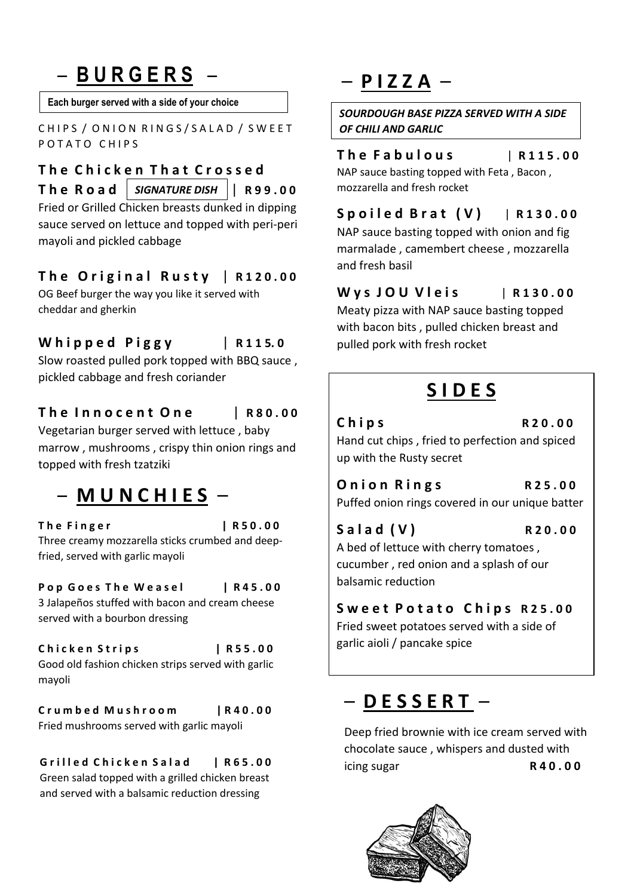# – **B U R G E R S** –

**Each burger served with a side of your choice**

CHIPS / ONION RINGS/SALAD / SWEET POTATO CHIPS

# **T h e C h i c k e n T h a t C r o s s e d**

**T h e R o a d** | **R 9 9 . 0 0**  *SIGNATURE DISH*  Fried or Grilled Chicken breasts dunked in dipping sauce served on lettuce and topped with peri-peri mayoli and pickled cabbage

#### **T h e O r i g i n a l R u s t y** | **R 1 2 0 . 0 0**

OG Beef burger the way you like it served with cheddar and gherkin

#### **W h i p p e d P i g g y** | **R 1 1 5. 0**

Slow roasted pulled pork topped with BBQ sauce , pickled cabbage and fresh coriander

#### **T h e I n n o c e n t O n e** | **R 8 0 . 0 0** Vegetarian burger served with lettuce , baby

marrow , mushrooms , crispy thin onion rings and topped with fresh tzatziki

### – **M U N C H I E S** –

**T h e F i n g e r | R 5 0 . 0 0** Three creamy mozzarella sticks crumbed and deepfried, served with garlic mayoli

#### **Pop Goes The Weasel | R45.00** 3 Jalapeños stuffed with bacon and cream cheese served with a bourbon dressing

 $Chicken String s$  | R55.00 Good old fashion chicken strips served with garlic mayoli

**C r u m b e d M u s h r o o m | R 4 0 . 0 0** Fried mushrooms served with garlic mayoli

Grilled Chicken Salad | R65.00 Green salad topped with a grilled chicken breast and served with a balsamic reduction dressing

## – **P I Z Z A** –

*SOURDOUGH BASE PIZZA SERVED WITH A SIDE OF CHILI AND GARLIC*

#### **T h e F a b u l o u s** | **R 1 1 5 . 0 0**

NAP sauce basting topped with Feta , Bacon , mozzarella and fresh rocket

#### **S p o i l e d B r a t ( V )** | **R 1 3 0 . 0 0**

NAP sauce basting topped with onion and fig marmalade , camembert cheese , mozzarella and fresh basil

#### **W y s J O U V l e i s** | **R 1 3 0 . 0 0**

Meaty pizza with NAP sauce basting topped with bacon bits , pulled chicken breast and pulled pork with fresh rocket

### **S I D E S**

# **Chips** R20.00

Hand cut chips , fried to perfection and spiced up with the Rusty secret

**Onion Rings** R25.00 Puffed onion rings covered in our unique batter

### **S a l a d ( V ) R 2 0 . 0 0**  A bed of lettuce with cherry tomatoes ,

cucumber , red onion and a splash of our balsamic reduction

#### Sweet Potato Chips R25.00

Fried sweet potatoes served with a side of garlic aioli / pancake spice

### – **D E S S E R T** –

Deep fried brownie with ice cream served with chocolate sauce , whispers and dusted with icing sugar **R 4 0 . 0 0**

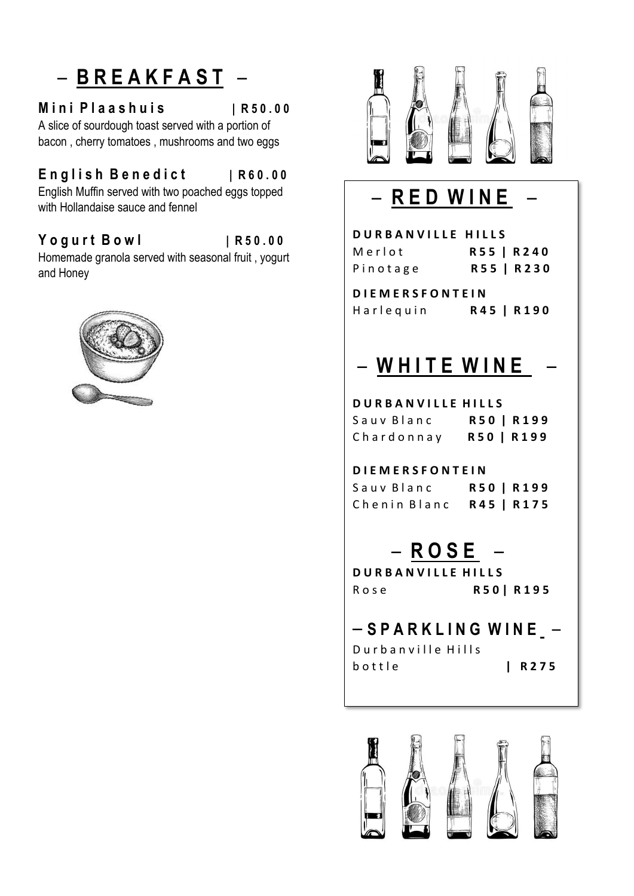# – **B R E A K F A S T** –

#### **M i n i P l a a s h u i s | R 5 0 . 0 0**

A slice of sourdough toast served with a portion of bacon , cherry tomatoes , mushrooms and two eggs

#### **E n g l i s h B e n e d i c t | R 6 0 . 0 0**

English Muffin served with two poached eggs topped with Hollandaise sauce and fennel

#### **Y o g u r t B o w l | R 5 0 . 0 0**

Homemade granola served with seasonal fruit , yogurt and Honey





# – **R E D W I N E** –

| <b>DURBANVILLE HILLS</b> |            |
|--------------------------|------------|
| Merlot                   | R55   R240 |
| Pinotage                 | R55   R230 |
| <b>DIEMERSFONTEIN</b>    |            |
| Harlequin                | R45   R190 |
|                          |            |
| $-$ WHITE WINE           |            |
|                          |            |
|                          |            |

#### **D U R B A N V I L L E H I L L S**

| Sauv Blanc | R50   R199 |
|------------|------------|
| Chardonnay | R50   R199 |

**D I E M E R S F O N T E I N**

 $S$  a u v B l a n c **R 5 0 | R 199** C h e n i n B l a n c **R 4 5 | R 1 7 5**

– **R O S E** –

**D U R B A N V I L L E H I L L S** R o s e **R 5 0 | R 1 9 5**

– **S P A R K L I N G W I N E** – Durban ville Hills

b o t t l e **| R 2 7 5**

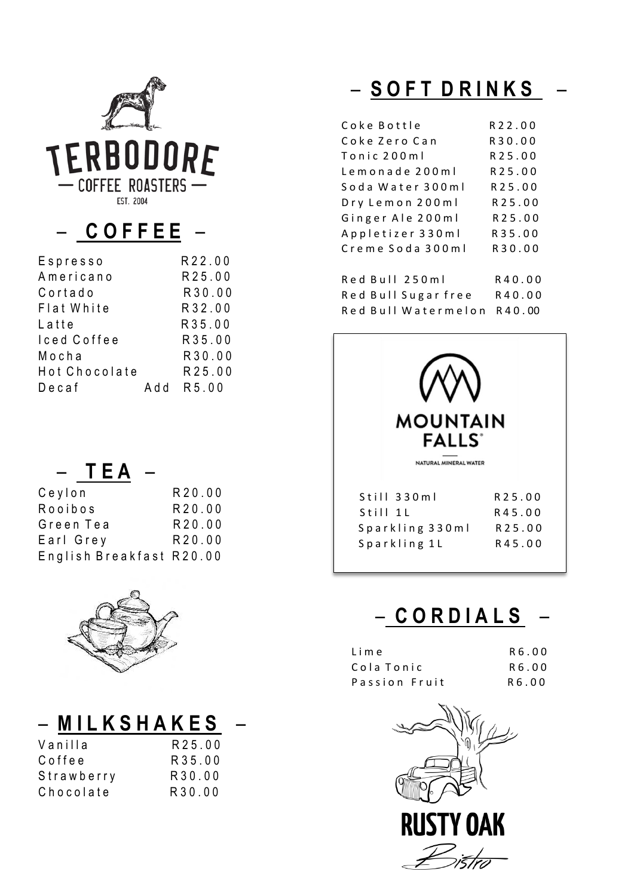

### $-$  COFFEE  $-$

| Espresso      | R22.00    |
|---------------|-----------|
| Americano     | R25.00    |
| Cortado       | R30.00    |
| Flat White    | R32.00    |
| Latte         | R35.00    |
| Iced Coffee   | R35.00    |
| Mocha         | R30.00    |
| Hot Chocolate | R25.00    |
| $D$ ecaf      | Add R5.00 |

# $-$  TEA

| Ceylon                   | R20.00 |
|--------------------------|--------|
| Rooibos                  | R20.00 |
| Green Tea                | R20.00 |
| Earl Grev                | R20.00 |
| English Breakfast R20.00 |        |
|                          |        |



| – MILKSHAKES |        |  |
|--------------|--------|--|
| Vanilla      | R25.00 |  |
| Coffee       | R35.00 |  |
| Strawberry   | R30.00 |  |
| Chocolate    | R30.00 |  |

# - SOFT DRINKS

| Coke Bottle         | R22.00      |
|---------------------|-------------|
| Coke Zero Can       | R30.00      |
| Tonic 200ml         | R25.00      |
| Lemonade 200ml      | R25.00      |
| Soda Water 300ml    | R25.00      |
| Dry Lemon 200ml     | R 2 5 . 0 0 |
| Ginger Ale 200ml    | R 2 5 . 0 0 |
| Appletizer 330ml    | R 3 5 . 0 0 |
| Creme Soda 300ml    | R30.00      |
| Red Bull 250ml      | R40.00      |
| Red Bull Sugar free | R40.00      |
| Red Bull Watermelon | R 4 0 .00   |



### - CORDIALS

| Lime          | R6.00  |
|---------------|--------|
| Cola Tonic    | R6.00  |
| Passion Fruit | R 6.00 |